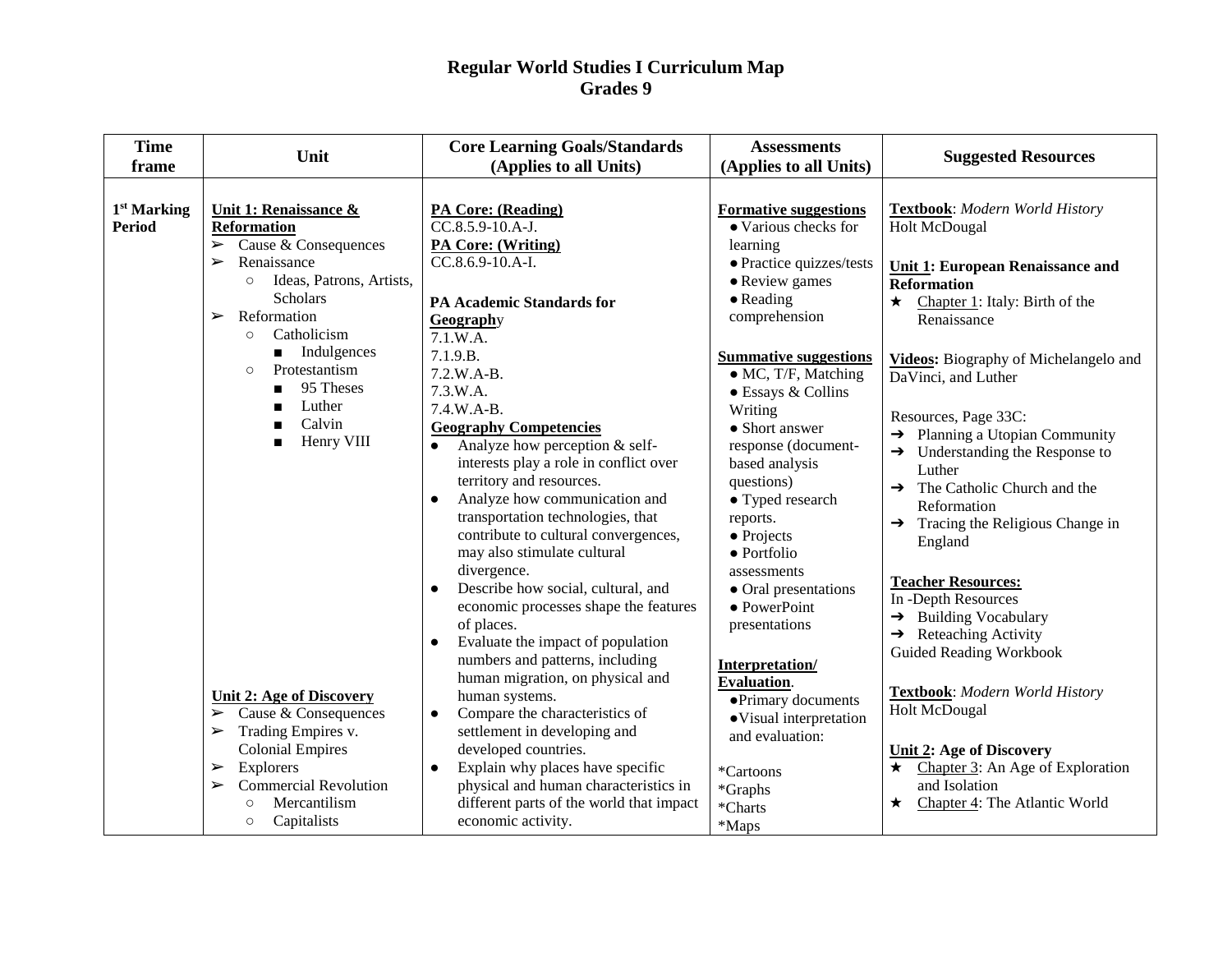| <b>Time</b><br>frame                     | Unit                                                                                                                                                                                                                                                                                                   | <b>Core Learning Goals/Standards</b><br>(Applies to all Units)                                                                                                                                                                                                                                                                                                                                                                                                                             | <b>Assessments</b><br>(Applies to all Units)                                                                                                                                                                                                              | <b>Suggested Resources</b>                                                                                                                                                                                                                                                                                                                                    |
|------------------------------------------|--------------------------------------------------------------------------------------------------------------------------------------------------------------------------------------------------------------------------------------------------------------------------------------------------------|--------------------------------------------------------------------------------------------------------------------------------------------------------------------------------------------------------------------------------------------------------------------------------------------------------------------------------------------------------------------------------------------------------------------------------------------------------------------------------------------|-----------------------------------------------------------------------------------------------------------------------------------------------------------------------------------------------------------------------------------------------------------|---------------------------------------------------------------------------------------------------------------------------------------------------------------------------------------------------------------------------------------------------------------------------------------------------------------------------------------------------------------|
|                                          |                                                                                                                                                                                                                                                                                                        |                                                                                                                                                                                                                                                                                                                                                                                                                                                                                            |                                                                                                                                                                                                                                                           |                                                                                                                                                                                                                                                                                                                                                               |
| 1 <sup>st</sup> Marking<br><b>Period</b> | Unit 1: Renaissance &<br><b>Reformation</b><br>$\triangleright$ Cause & Consequences<br>Renaissance<br>$\blacktriangleright$<br>Ideas, Patrons, Artists,<br>$\circ$                                                                                                                                    | <b>PA Core: (Reading)</b><br>CC.8.5.9-10.A-J.<br><b>PA Core: (Writing)</b><br>CC.8.6.9-10.A-I.                                                                                                                                                                                                                                                                                                                                                                                             | <b>Formative suggestions</b><br>• Various checks for<br>learning<br>· Practice quizzes/tests<br>• Review games                                                                                                                                            | Textbook: Modern World History<br><b>Holt McDougal</b><br><b>Unit 1: European Renaissance and</b><br><b>Reformation</b>                                                                                                                                                                                                                                       |
|                                          | Scholars<br>Reformation<br>$\blacktriangleright$<br>Catholicism<br>$\circ$                                                                                                                                                                                                                             | <b>PA Academic Standards for</b><br>Geography<br>7.1.W.A.                                                                                                                                                                                                                                                                                                                                                                                                                                  | $\bullet$ Reading<br>comprehension                                                                                                                                                                                                                        | $\star$<br>Chapter 1: Italy: Birth of the<br>Renaissance                                                                                                                                                                                                                                                                                                      |
|                                          | $\blacksquare$ Indulgences<br>Protestantism<br>$\circ$<br>95 Theses<br>Luther<br>Calvin<br>Henry VIII                                                                                                                                                                                                  | 7.1.9.B.<br>7.2.W.A-B.<br>7.3.W.A.<br>$7.4.W.A-B.$<br><b>Geography Competencies</b><br>Analyze how perception & self-<br>$\bullet$<br>interests play a role in conflict over<br>territory and resources.<br>Analyze how communication and<br>transportation technologies, that<br>contribute to cultural convergences,<br>may also stimulate cultural<br>divergence.                                                                                                                       | <b>Summative suggestions</b><br>· MC, T/F, Matching<br>• Essays & Collins<br>Writing<br>• Short answer<br>response (document-<br>based analysis<br>questions)<br>• Typed research<br>reports.<br>$\bullet$ Projects<br>$\bullet$ Portfolio<br>assessments | <b>Videos:</b> Biography of Michelangelo and<br>DaVinci, and Luther<br>Resources, Page 33C:<br>$\rightarrow$ Planning a Utopian Community<br>Understanding the Response to<br>$\rightarrow$<br>Luther<br>$\rightarrow$ The Catholic Church and the<br>Reformation<br>Tracing the Religious Change in<br>$\rightarrow$<br>England<br><b>Teacher Resources:</b> |
|                                          | <b>Unit 2: Age of Discovery</b><br>$\triangleright$ Cause & Consequences<br>Trading Empires v.<br>$\blacktriangleright$<br><b>Colonial Empires</b><br>Explorers<br>$\blacktriangleright$<br><b>Commercial Revolution</b><br>$\blacktriangleright$<br>Mercantilism<br>$\circ$<br>Capitalists<br>$\circ$ | Describe how social, cultural, and<br>economic processes shape the features<br>of places.<br>Evaluate the impact of population<br>$\bullet$<br>numbers and patterns, including<br>human migration, on physical and<br>human systems.<br>Compare the characteristics of<br>$\bullet$<br>settlement in developing and<br>developed countries.<br>Explain why places have specific<br>physical and human characteristics in<br>different parts of the world that impact<br>economic activity. | • Oral presentations<br>• PowerPoint<br>presentations<br>Interpretation/<br><b>Evaluation.</b><br>• Primary documents<br>· Visual interpretation<br>and evaluation:<br>*Cartoons<br>*Graphs<br>*Charts<br>*Maps                                           | In -Depth Resources<br>$\rightarrow$ Building Vocabulary<br>$\rightarrow$ Reteaching Activity<br><b>Guided Reading Workbook</b><br>Textbook: Modern World History<br><b>Holt McDougal</b><br><b>Unit 2: Age of Discovery</b><br>$\star$ Chapter 3: An Age of Exploration<br>and Isolation<br>Chapter 4: The Atlantic World<br>$\star$                         |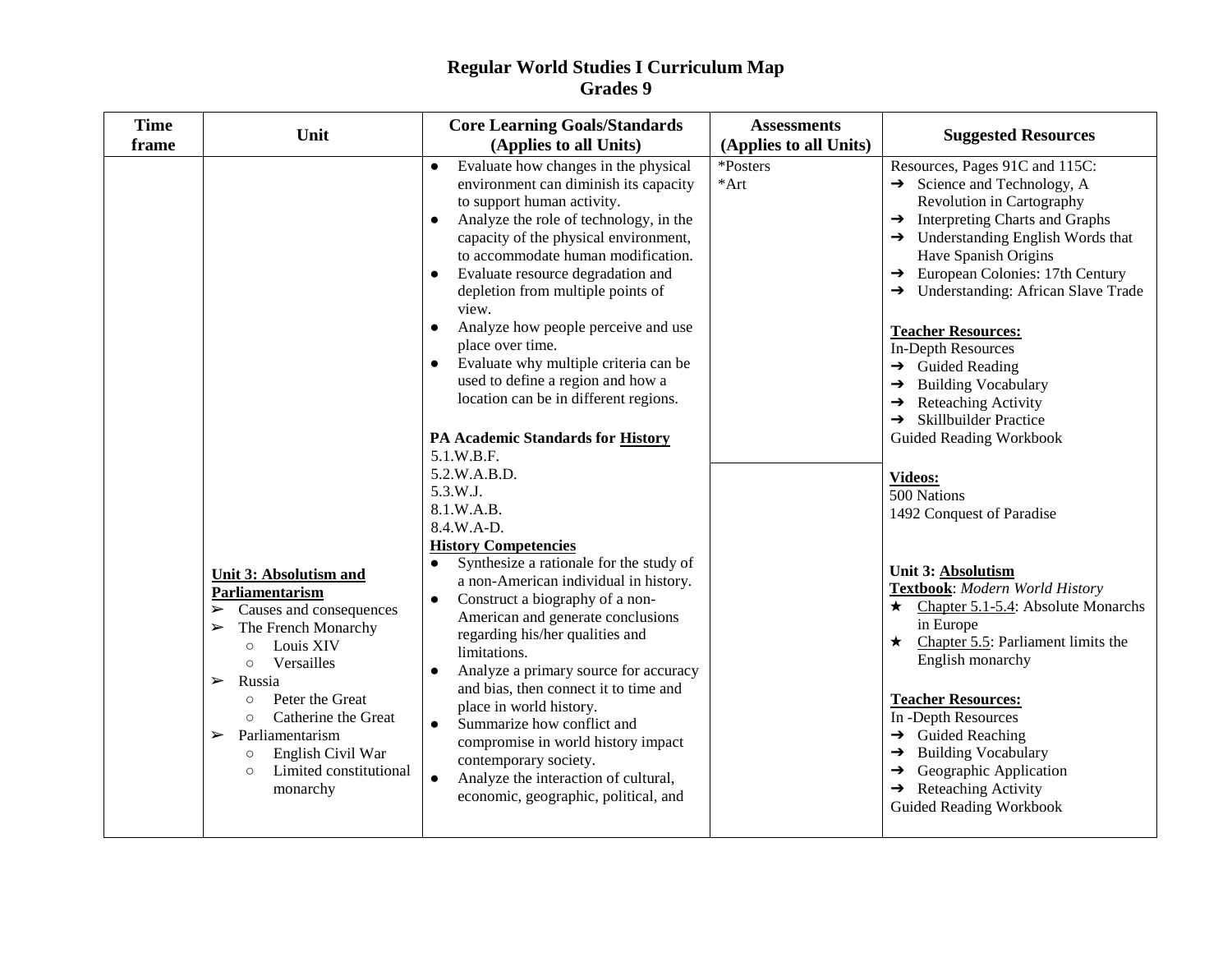| <b>Time</b><br>frame | Unit                                                                                                                                                                                                                                                                                                                                                                           | <b>Core Learning Goals/Standards</b><br>(Applies to all Units)                                                                                                                                                                                                                                                                                                                                                                                                                                                                                                                                                                                                                                                                                                                                                                                                                                                                                                                                                                                                                                                                                                                                                                                          | <b>Assessments</b><br>(Applies to all Units) | <b>Suggested Resources</b>                                                                                                                                                                                                                                                                                                                                                                                                                                                                                                                                                                                                                                                                                                                                                                                                                                                                                                                                                                                                                                                     |
|----------------------|--------------------------------------------------------------------------------------------------------------------------------------------------------------------------------------------------------------------------------------------------------------------------------------------------------------------------------------------------------------------------------|---------------------------------------------------------------------------------------------------------------------------------------------------------------------------------------------------------------------------------------------------------------------------------------------------------------------------------------------------------------------------------------------------------------------------------------------------------------------------------------------------------------------------------------------------------------------------------------------------------------------------------------------------------------------------------------------------------------------------------------------------------------------------------------------------------------------------------------------------------------------------------------------------------------------------------------------------------------------------------------------------------------------------------------------------------------------------------------------------------------------------------------------------------------------------------------------------------------------------------------------------------|----------------------------------------------|--------------------------------------------------------------------------------------------------------------------------------------------------------------------------------------------------------------------------------------------------------------------------------------------------------------------------------------------------------------------------------------------------------------------------------------------------------------------------------------------------------------------------------------------------------------------------------------------------------------------------------------------------------------------------------------------------------------------------------------------------------------------------------------------------------------------------------------------------------------------------------------------------------------------------------------------------------------------------------------------------------------------------------------------------------------------------------|
|                      | Unit 3: Absolutism and<br>Parliamentarism<br>$\triangleright$ Causes and consequences<br>The French Monarchy<br>➤<br>Louis XIV<br>$\circ$<br>Versailles<br>$\circ$<br>Russia<br>$\blacktriangleright$<br>Peter the Great<br>$\circ$<br>Catherine the Great<br>$\circ$<br>Parliamentarism<br>➤<br>English Civil War<br>$\circ$<br>Limited constitutional<br>$\circ$<br>monarchy | Evaluate how changes in the physical<br>$\bullet$<br>environment can diminish its capacity<br>to support human activity.<br>Analyze the role of technology, in the<br>capacity of the physical environment,<br>to accommodate human modification.<br>Evaluate resource degradation and<br>depletion from multiple points of<br>view.<br>Analyze how people perceive and use<br>$\bullet$<br>place over time.<br>Evaluate why multiple criteria can be<br>used to define a region and how a<br>location can be in different regions.<br>PA Academic Standards for History<br>5.1.W.B.F.<br>5.2.W.A.B.D.<br>5.3.W.J.<br>8.1.W.A.B.<br>8.4.W.A-D.<br><b>History Competencies</b><br>Synthesize a rationale for the study of<br>$\bullet$<br>a non-American individual in history.<br>Construct a biography of a non-<br>$\bullet$<br>American and generate conclusions<br>regarding his/her qualities and<br>limitations.<br>Analyze a primary source for accuracy<br>$\bullet$<br>and bias, then connect it to time and<br>place in world history.<br>Summarize how conflict and<br>$\bullet$<br>compromise in world history impact<br>contemporary society.<br>Analyze the interaction of cultural,<br>$\bullet$<br>economic, geographic, political, and | *Posters<br>$*Art$                           | Resources, Pages 91C and 115C:<br>$\rightarrow$ Science and Technology, A<br>Revolution in Cartography<br>$\rightarrow$ Interpreting Charts and Graphs<br>$\rightarrow$ Understanding English Words that<br>Have Spanish Origins<br>$\rightarrow$ European Colonies: 17th Century<br>$\rightarrow$ Understanding: African Slave Trade<br><b>Teacher Resources:</b><br><b>In-Depth Resources</b><br>$\rightarrow$ Guided Reading<br>$\rightarrow$ Building Vocabulary<br>$\rightarrow$ Reteaching Activity<br>$\rightarrow$ Skillbuilder Practice<br><b>Guided Reading Workbook</b><br>Videos:<br>500 Nations<br>1492 Conquest of Paradise<br><b>Unit 3: Absolutism</b><br>Textbook: Modern World History<br>$\star$ Chapter 5.1-5.4: Absolute Monarchs<br>in Europe<br>$\star$ Chapter 5.5: Parliament limits the<br>English monarchy<br><b>Teacher Resources:</b><br>In -Depth Resources<br>$\rightarrow$ Guided Reaching<br>$\rightarrow$ Building Vocabulary<br>$\rightarrow$ Geographic Application<br>$\rightarrow$ Reteaching Activity<br><b>Guided Reading Workbook</b> |
|                      |                                                                                                                                                                                                                                                                                                                                                                                |                                                                                                                                                                                                                                                                                                                                                                                                                                                                                                                                                                                                                                                                                                                                                                                                                                                                                                                                                                                                                                                                                                                                                                                                                                                         |                                              |                                                                                                                                                                                                                                                                                                                                                                                                                                                                                                                                                                                                                                                                                                                                                                                                                                                                                                                                                                                                                                                                                |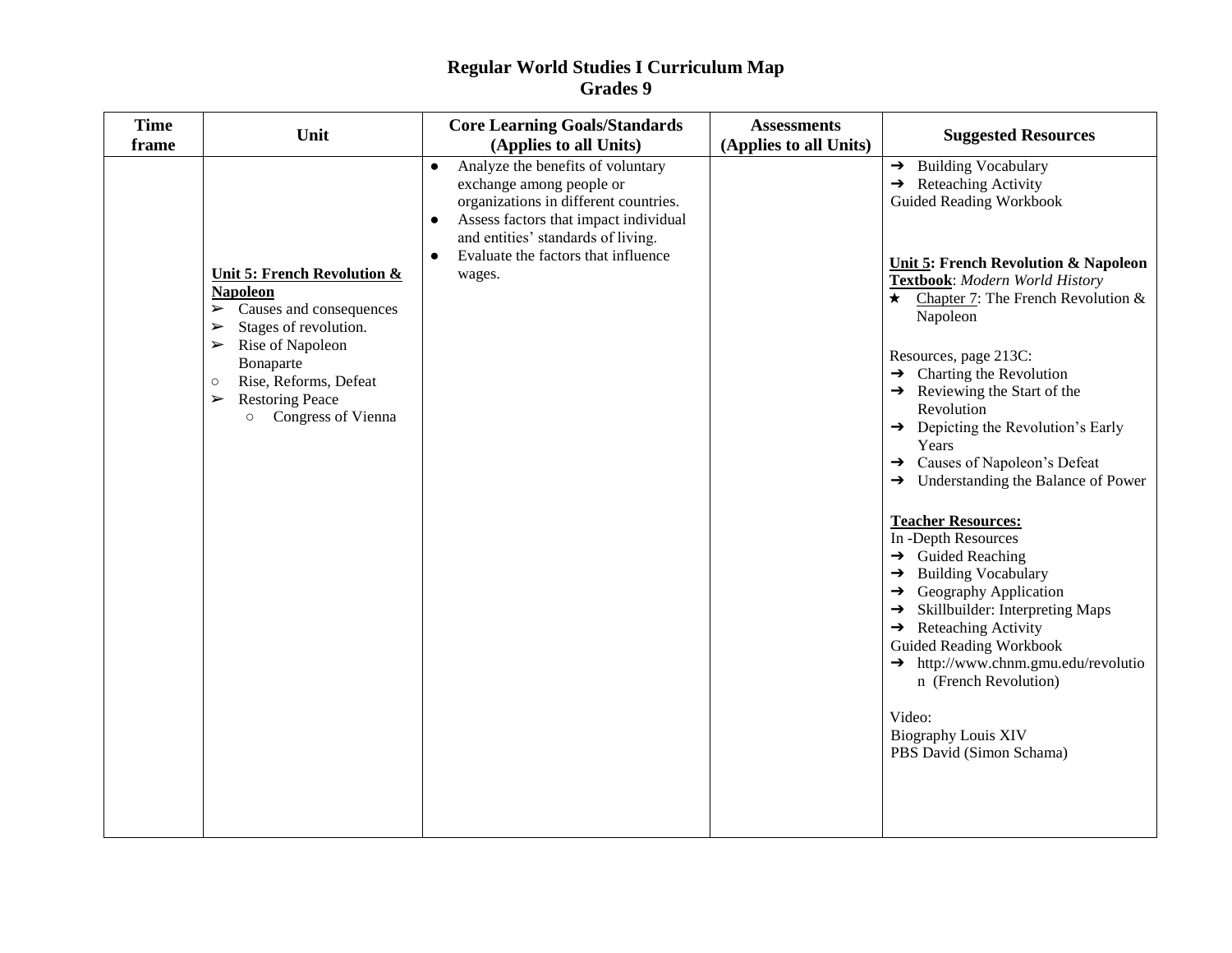| <b>Time</b><br>frame | Unit                                                                                                                                                                                                                                                                                                      | <b>Core Learning Goals/Standards</b><br>(Applies to all Units)                                                                                                                                                                                                                | <b>Assessments</b><br>(Applies to all Units) | <b>Suggested Resources</b>                                                                                                                                                                                                                                                                                                                                                                                                                                                                                                                                                                                                                                                                                                                                                                                                                                                                                                                                                      |
|----------------------|-----------------------------------------------------------------------------------------------------------------------------------------------------------------------------------------------------------------------------------------------------------------------------------------------------------|-------------------------------------------------------------------------------------------------------------------------------------------------------------------------------------------------------------------------------------------------------------------------------|----------------------------------------------|---------------------------------------------------------------------------------------------------------------------------------------------------------------------------------------------------------------------------------------------------------------------------------------------------------------------------------------------------------------------------------------------------------------------------------------------------------------------------------------------------------------------------------------------------------------------------------------------------------------------------------------------------------------------------------------------------------------------------------------------------------------------------------------------------------------------------------------------------------------------------------------------------------------------------------------------------------------------------------|
|                      | <b>Unit 5: French Revolution &amp;</b><br><b>Napoleon</b><br>$\sum$ Causes and consequences<br>Stages of revolution.<br>➤<br>Rise of Napoleon<br>$\blacktriangleright$<br>Bonaparte<br>Rise, Reforms, Defeat<br>$\circ$<br><b>Restoring Peace</b><br>$\blacktriangleright$<br><b>O</b> Congress of Vienna | Analyze the benefits of voluntary<br>$\bullet$<br>exchange among people or<br>organizations in different countries.<br>Assess factors that impact individual<br>$\bullet$<br>and entities' standards of living.<br>Evaluate the factors that influence<br>$\bullet$<br>wages. |                                              | $\rightarrow$ Building Vocabulary<br>$\rightarrow$ Reteaching Activity<br><b>Guided Reading Workbook</b><br><b>Unit 5: French Revolution &amp; Napoleon</b><br>Textbook: Modern World History<br>$\star$ Chapter 7: The French Revolution &<br>Napoleon<br>Resources, page 213C:<br>$\rightarrow$ Charting the Revolution<br>$\rightarrow$ Reviewing the Start of the<br>Revolution<br>$\rightarrow$ Depicting the Revolution's Early<br>Years<br>→ Causes of Napoleon's Defeat<br>$\rightarrow$ Understanding the Balance of Power<br><b>Teacher Resources:</b><br>In -Depth Resources<br>$\rightarrow$ Guided Reaching<br>$\rightarrow$ Building Vocabulary<br>$\rightarrow$ Geography Application<br>Skillbuilder: Interpreting Maps<br>$\rightarrow$<br>$\rightarrow$ Reteaching Activity<br><b>Guided Reading Workbook</b><br>$\rightarrow$ http://www.chnm.gmu.edu/revolutio<br>n (French Revolution)<br>Video:<br><b>Biography Louis XIV</b><br>PBS David (Simon Schama) |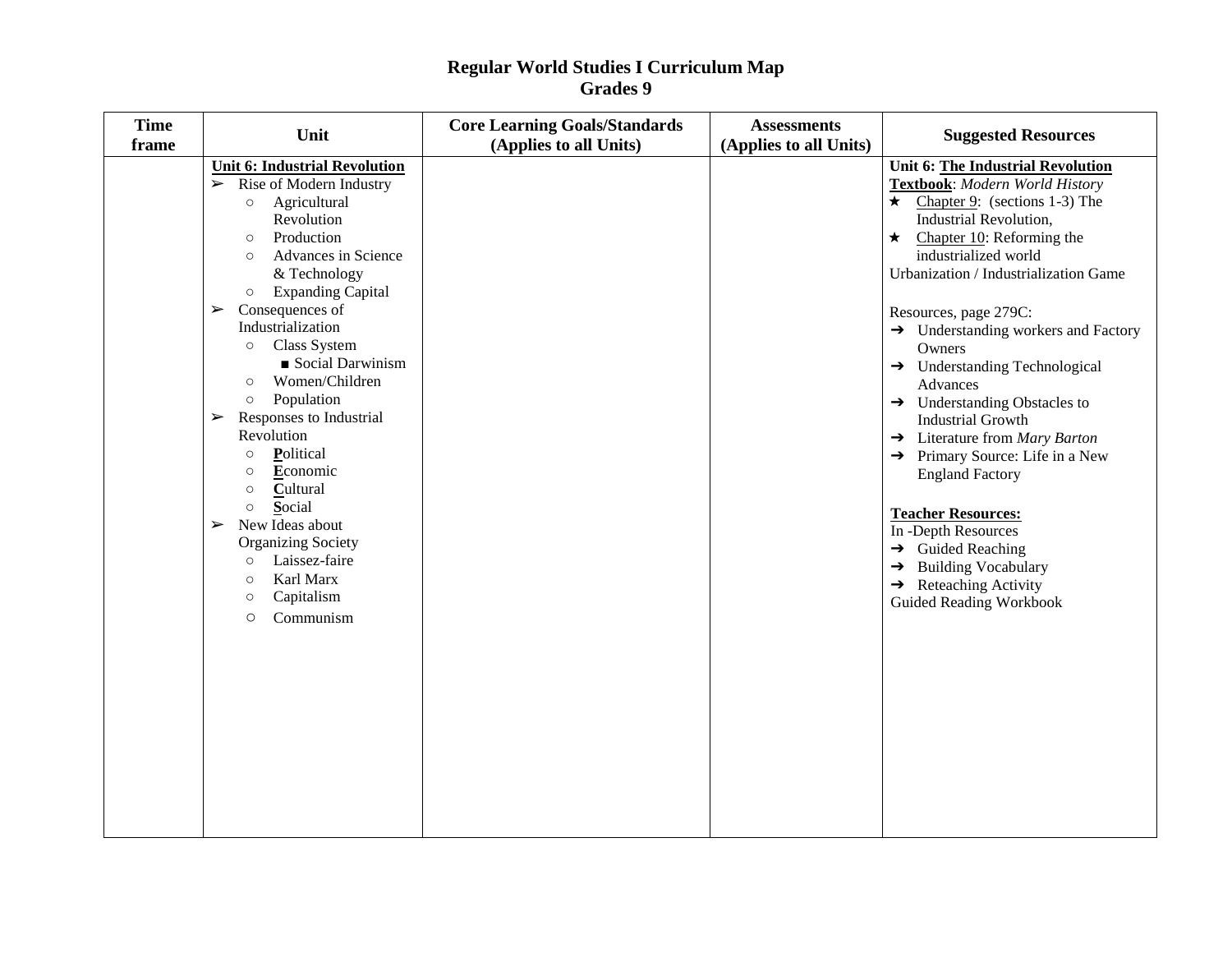| <b>Time</b><br>frame | Unit                                                                                                                                                                                                                                                                                                                                                                                                                                                                                                                                                                                                                                                                                                                       | <b>Core Learning Goals/Standards</b><br>(Applies to all Units) | <b>Assessments</b><br>(Applies to all Units) | <b>Suggested Resources</b>                                                                                                                                                                                                                                                                                                                                                                                                                                                                                                                                                                                                                                                                                                                                                                 |
|----------------------|----------------------------------------------------------------------------------------------------------------------------------------------------------------------------------------------------------------------------------------------------------------------------------------------------------------------------------------------------------------------------------------------------------------------------------------------------------------------------------------------------------------------------------------------------------------------------------------------------------------------------------------------------------------------------------------------------------------------------|----------------------------------------------------------------|----------------------------------------------|--------------------------------------------------------------------------------------------------------------------------------------------------------------------------------------------------------------------------------------------------------------------------------------------------------------------------------------------------------------------------------------------------------------------------------------------------------------------------------------------------------------------------------------------------------------------------------------------------------------------------------------------------------------------------------------------------------------------------------------------------------------------------------------------|
|                      | <b>Unit 6: Industrial Revolution</b><br>$\triangleright$ Rise of Modern Industry<br>Agricultural<br>$\circ$<br>Revolution<br>Production<br>$\circ$<br>Advances in Science<br>$\circ$<br>& Technology<br><b>Expanding Capital</b><br>$\circ$<br>Consequences of<br>$\blacktriangleright$<br>Industrialization<br>Class System<br>$\circ$<br>Social Darwinism<br>Women/Children<br>O<br>Population<br>$\circ$<br>Responses to Industrial<br>➤<br>Revolution<br>Political<br>$\circ$<br>Economic<br>$\circ$<br>Cultural<br>$\circ$<br>Social<br>$\circ$<br>New Ideas about<br>➤<br><b>Organizing Society</b><br>Laissez-faire<br>$\circ$<br>Karl Marx<br>$\circ$<br>Capitalism<br>$\circ$<br>Communism<br>$\circlearrowright$ |                                                                |                                              | Unit 6: The Industrial Revolution<br>Textbook: Modern World History<br>$\star$ Chapter 9: (sections 1-3) The<br>Industrial Revolution,<br>$\star$ Chapter 10: Reforming the<br>industrialized world<br>Urbanization / Industrialization Game<br>Resources, page 279C:<br>$\rightarrow$ Understanding workers and Factory<br>Owners<br>$\rightarrow$ Understanding Technological<br>Advances<br>$\rightarrow$ Understanding Obstacles to<br><b>Industrial Growth</b><br>$\rightarrow$ Literature from Mary Barton<br>$\rightarrow$ Primary Source: Life in a New<br><b>England Factory</b><br><b>Teacher Resources:</b><br>In -Depth Resources<br>$\rightarrow$ Guided Reaching<br>$\rightarrow$ Building Vocabulary<br>$\rightarrow$ Reteaching Activity<br><b>Guided Reading Workbook</b> |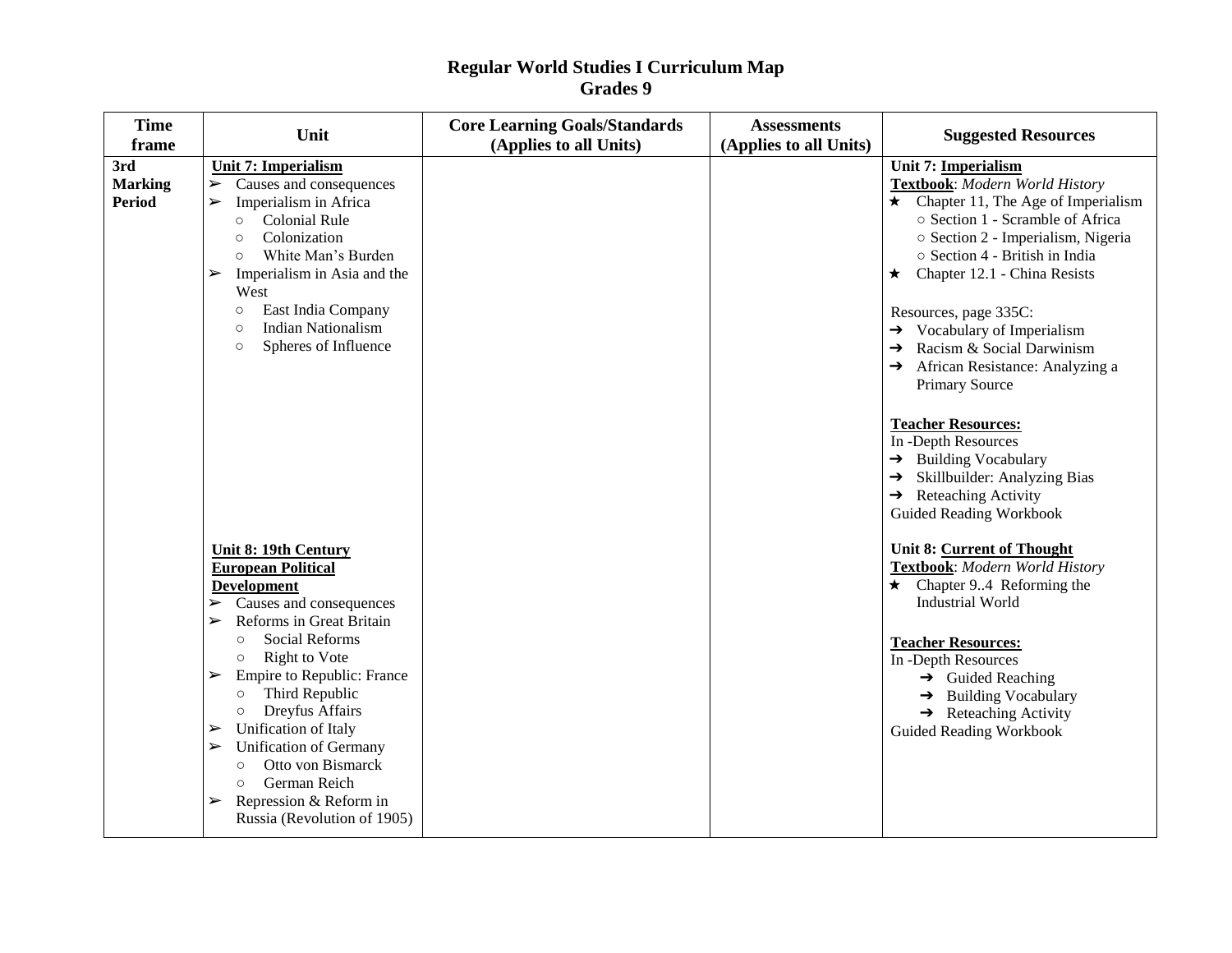| <b>Time</b><br>frame                   | Unit                                                                                                                                                                                                                                                                                                                                                                                                                                                                                                                                      | <b>Core Learning Goals/Standards</b><br>(Applies to all Units) | <b>Assessments</b><br>(Applies to all Units) | <b>Suggested Resources</b>                                                                                                                                                                                                                                                                                                                                                                                                                                                                                                                                                                                         |
|----------------------------------------|-------------------------------------------------------------------------------------------------------------------------------------------------------------------------------------------------------------------------------------------------------------------------------------------------------------------------------------------------------------------------------------------------------------------------------------------------------------------------------------------------------------------------------------------|----------------------------------------------------------------|----------------------------------------------|--------------------------------------------------------------------------------------------------------------------------------------------------------------------------------------------------------------------------------------------------------------------------------------------------------------------------------------------------------------------------------------------------------------------------------------------------------------------------------------------------------------------------------------------------------------------------------------------------------------------|
| 3rd<br><b>Marking</b><br><b>Period</b> | <b>Unit 7: Imperialism</b><br>Causes and consequences<br>$\blacktriangleright$<br>Imperialism in Africa<br>$\blacktriangleright$<br>Colonial Rule<br>$\circ$<br>Colonization<br>$\circ$<br>White Man's Burden<br>$\circ$<br>Imperialism in Asia and the<br>➤<br>West<br>East India Company<br>$\circ$<br><b>Indian Nationalism</b><br>$\circ$<br>Spheres of Influence<br>$\circ$                                                                                                                                                          |                                                                |                                              | <b>Unit 7: Imperialism</b><br>Textbook: Modern World History<br>$\star$ Chapter 11, The Age of Imperialism<br>○ Section 1 - Scramble of Africa<br>○ Section 2 - Imperialism, Nigeria<br>○ Section 4 - British in India<br>$\star$ Chapter 12.1 - China Resists<br>Resources, page 335C:<br>$\rightarrow$ Vocabulary of Imperialism<br>Racism & Social Darwinism<br>→<br>African Resistance: Analyzing a<br>Primary Source<br><b>Teacher Resources:</b><br>In -Depth Resources<br>→ Building Vocabulary<br>Skillbuilder: Analyzing Bias<br>→<br>$\rightarrow$ Reteaching Activity<br><b>Guided Reading Workbook</b> |
|                                        | <b>Unit 8: 19th Century</b><br><b>European Political</b><br><b>Development</b><br>$\triangleright$ Causes and consequences<br>Reforms in Great Britain<br>$\blacktriangleright$<br><b>Social Reforms</b><br>$\circ$<br>Right to Vote<br>$\circ$<br>Empire to Republic: France<br>➤<br>Third Republic<br>$\circ$<br>Dreyfus Affairs<br>$\circ$<br>Unification of Italy<br>➤<br><b>Unification of Germany</b><br>➤<br>Otto von Bismarck<br>$\circ$<br>German Reich<br>$\circ$<br>Repression & Reform in<br>➤<br>Russia (Revolution of 1905) |                                                                |                                              | Unit 8: Current of Thought<br>Textbook: Modern World History<br>$\star$ Chapter 94 Reforming the<br><b>Industrial World</b><br><b>Teacher Resources:</b><br>In -Depth Resources<br>$\rightarrow$ Guided Reaching<br>$\rightarrow$ Building Vocabulary<br>$\rightarrow$ Reteaching Activity<br><b>Guided Reading Workbook</b>                                                                                                                                                                                                                                                                                       |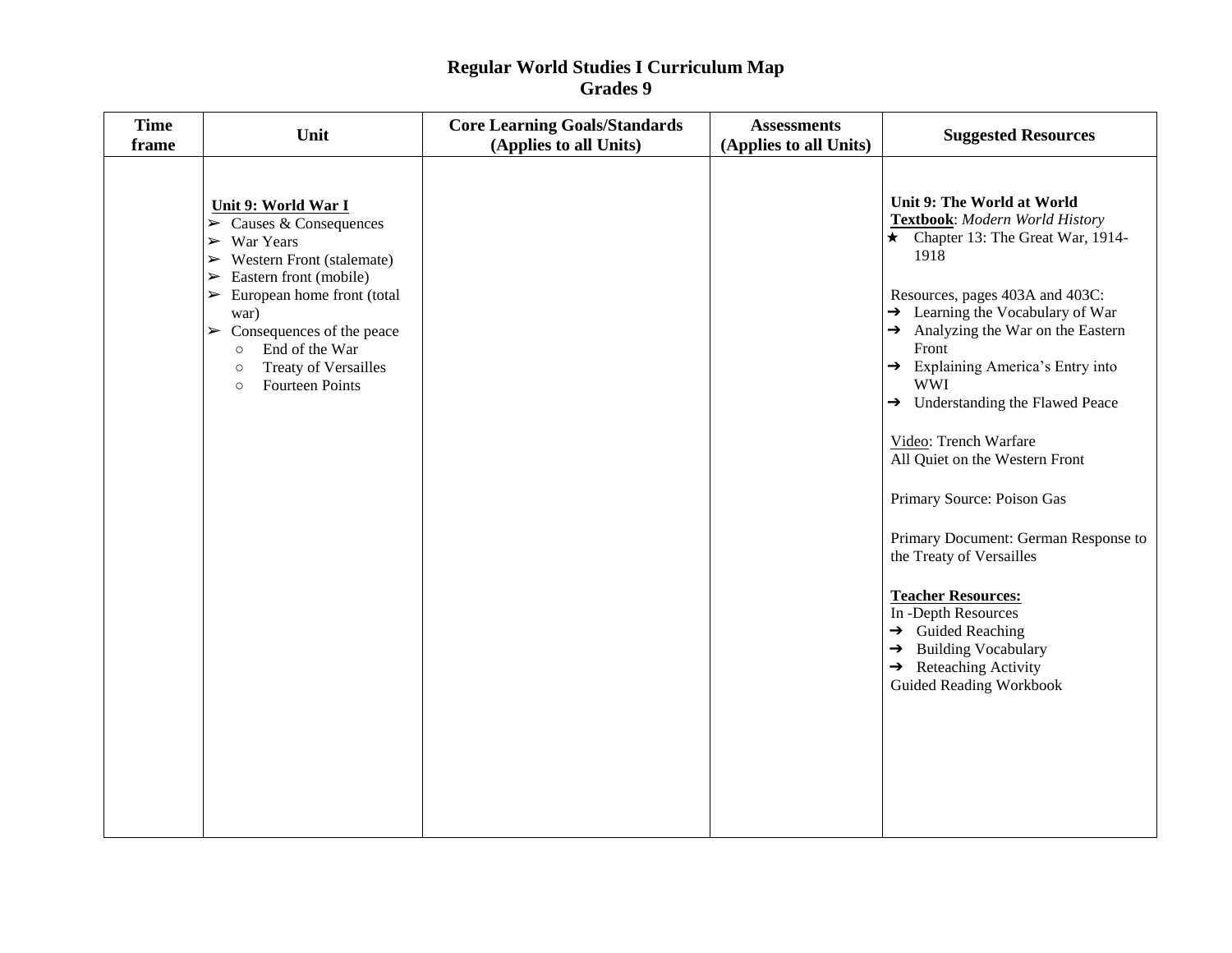| <b>Time</b><br>frame | Unit                                                                                                                                                                                                                                                                                                                                                                                                                  | <b>Core Learning Goals/Standards</b><br>(Applies to all Units) | <b>Assessments</b><br>(Applies to all Units) | <b>Suggested Resources</b>                                                                                                                                                                                                                                                                                                                                                                                                                                                                                                                                                                                                                                                                                                      |
|----------------------|-----------------------------------------------------------------------------------------------------------------------------------------------------------------------------------------------------------------------------------------------------------------------------------------------------------------------------------------------------------------------------------------------------------------------|----------------------------------------------------------------|----------------------------------------------|---------------------------------------------------------------------------------------------------------------------------------------------------------------------------------------------------------------------------------------------------------------------------------------------------------------------------------------------------------------------------------------------------------------------------------------------------------------------------------------------------------------------------------------------------------------------------------------------------------------------------------------------------------------------------------------------------------------------------------|
|                      | Unit 9: World War I<br>$\triangleright$ Causes & Consequences<br>$\triangleright$ War Years<br>$\triangleright$ Western Front (stalemate)<br>Eastern front (mobile)<br>$\blacktriangleright$<br>European home front (total<br>$\blacktriangleright$<br>war)<br>$\triangleright$ Consequences of the peace<br>End of the War<br>$\circ$<br><b>Treaty of Versailles</b><br>$\circ$<br><b>Fourteen Points</b><br>$\circ$ |                                                                |                                              | Unit 9: The World at World<br>Textbook: Modern World History<br>$\star$ Chapter 13: The Great War, 1914-<br>1918<br>Resources, pages 403A and 403C:<br>$\rightarrow$ Learning the Vocabulary of War<br>$\rightarrow$ Analyzing the War on the Eastern<br>Front<br>→ Explaining America's Entry into<br><b>WWI</b><br>$\rightarrow$ Understanding the Flawed Peace<br>Video: Trench Warfare<br>All Quiet on the Western Front<br>Primary Source: Poison Gas<br>Primary Document: German Response to<br>the Treaty of Versailles<br><b>Teacher Resources:</b><br>In -Depth Resources<br>$\rightarrow$ Guided Reaching<br>$\rightarrow$ Building Vocabulary<br>$\rightarrow$ Reteaching Activity<br><b>Guided Reading Workbook</b> |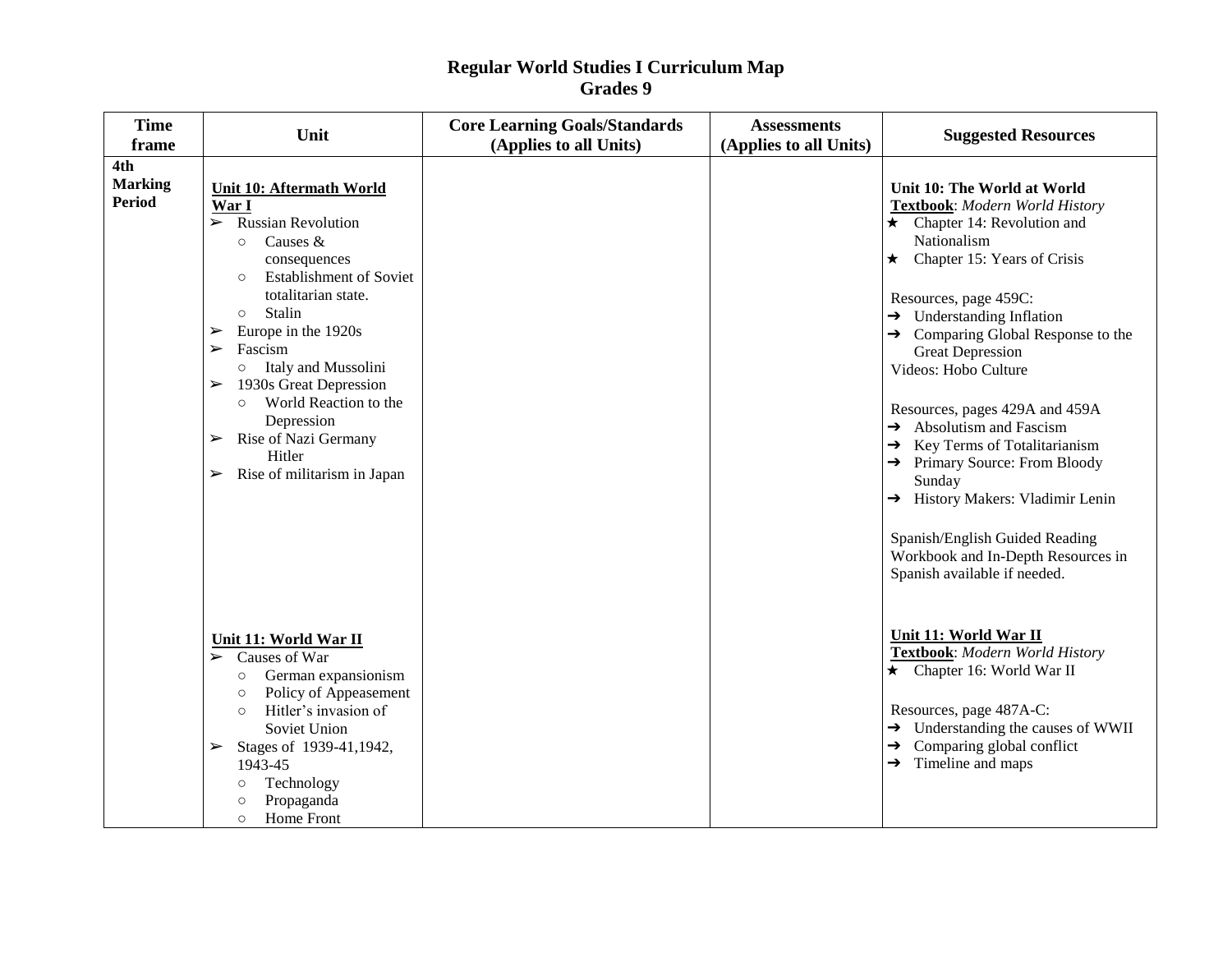| <b>Time</b><br>frame                   | Unit                                                                                                                                                                                                                                                                                                                                                                                                                                                                                                                               | <b>Core Learning Goals/Standards</b><br>(Applies to all Units) | <b>Assessments</b><br>(Applies to all Units) | <b>Suggested Resources</b>                                                                                                                                                                                                                                                                                                                                                                                                                                                                                                                                                                                                                    |
|----------------------------------------|------------------------------------------------------------------------------------------------------------------------------------------------------------------------------------------------------------------------------------------------------------------------------------------------------------------------------------------------------------------------------------------------------------------------------------------------------------------------------------------------------------------------------------|----------------------------------------------------------------|----------------------------------------------|-----------------------------------------------------------------------------------------------------------------------------------------------------------------------------------------------------------------------------------------------------------------------------------------------------------------------------------------------------------------------------------------------------------------------------------------------------------------------------------------------------------------------------------------------------------------------------------------------------------------------------------------------|
| 4th<br><b>Marking</b><br><b>Period</b> | Unit 10: Aftermath World<br>War I<br>$\triangleright$ Russian Revolution<br>Causes &<br>$\circ$<br>consequences<br><b>Establishment of Soviet</b><br>$\circ$<br>totalitarian state.<br>Stalin<br>$\circ$<br>Europe in the 1920s<br>➤<br>Fascism<br>$\blacktriangleright$<br>Italy and Mussolini<br>$\circ$<br>1930s Great Depression<br>$\blacktriangleright$<br>World Reaction to the<br>$\circ$<br>Depression<br>Rise of Nazi Germany<br>$\blacktriangleright$<br>Hitler<br>Rise of militarism in Japan<br>$\blacktriangleright$ |                                                                |                                              | Unit 10: The World at World<br>Textbook: Modern World History<br>$\star$ Chapter 14: Revolution and<br>Nationalism<br>$\star$ Chapter 15: Years of Crisis<br>Resources, page 459C:<br>$\rightarrow$ Understanding Inflation<br>$\rightarrow$ Comparing Global Response to the<br><b>Great Depression</b><br>Videos: Hobo Culture<br>Resources, pages 429A and 459A<br>$\rightarrow$ Absolutism and Fascism<br>$\rightarrow$ Key Terms of Totalitarianism<br>→ Primary Source: From Bloody<br>Sunday<br>History Makers: Vladimir Lenin<br>Spanish/English Guided Reading<br>Workbook and In-Depth Resources in<br>Spanish available if needed. |
|                                        | Unit 11: World War II<br>$\triangleright$ Causes of War<br>German expansionism<br>$\circ$<br>Policy of Appeasement<br>$\circ$<br>Hitler's invasion of<br>$\circ$<br>Soviet Union<br>Stages of 1939-41,1942,<br>➤<br>1943-45<br>Technology<br>$\circ$<br>Propaganda<br>$\circ$<br>Home Front<br>$\circ$                                                                                                                                                                                                                             |                                                                |                                              | Unit 11: World War II<br>Textbook: Modern World History<br>★ Chapter 16: World War II<br>Resources, page 487A-C:<br>$\rightarrow$ Understanding the causes of WWII<br>$\rightarrow$ Comparing global conflict<br>$\rightarrow$ Timeline and maps                                                                                                                                                                                                                                                                                                                                                                                              |